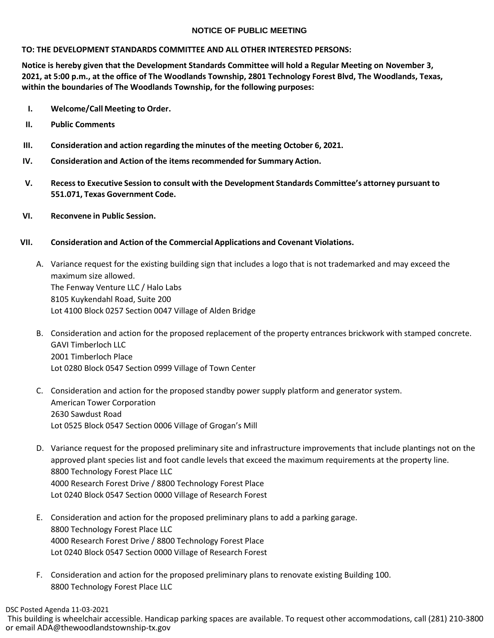## **NOTICE OF PUBLIC MEETING**

#### **TO: THE DEVELOPMENT STANDARDS COMMITTEE AND ALL OTHER INTERESTED PERSONS:**

**Notice is hereby given that the Development Standards Committee will hold a Regular Meeting on November 3, 2021, at 5:00 p.m., at the office of The Woodlands Township, 2801 Technology Forest Blvd, The Woodlands, Texas, within the boundaries of The Woodlands Township, for the following purposes:**

- **I. Welcome/Call Meeting to Order.**
- **II. Public Comments**
- **III. Consideration and action regarding the minutes of the meeting October 6, 2021.**
- **IV. Consideration and Action of the items recommended for Summary Action.**
- **V. Recessto Executive Session to consult with the Development Standards Committee's attorney pursuant to 551.071, Texas Government Code.**
- **VI. Reconvene in Public Session.**

# **VII. Consideration and Action of the Commercial Applications and Covenant Violations.**

- A. Variance request for the existing building sign that includes a logo that is not trademarked and may exceed the maximum size allowed. The Fenway Venture LLC / Halo Labs 8105 Kuykendahl Road, Suite 200 Lot 4100 Block 0257 Section 0047 Village of Alden Bridge
- B. Consideration and action for the proposed replacement of the property entrances brickwork with stamped concrete. GAVI Timberloch LLC 2001 Timberloch Place Lot 0280 Block 0547 Section 0999 Village of Town Center
- C. Consideration and action for the proposed standby power supply platform and generator system. American Tower Corporation 2630 Sawdust Road Lot 0525 Block 0547 Section 0006 Village of Grogan's Mill
- D. Variance request for the proposed preliminary site and infrastructure improvements that include plantings not on the approved plant species list and foot candle levels that exceed the maximum requirements at the property line. 8800 Technology Forest Place LLC 4000 Research Forest Drive / 8800 Technology Forest Place Lot 0240 Block 0547 Section 0000 Village of Research Forest
- E. Consideration and action for the proposed preliminary plans to add a parking garage. 8800 Technology Forest Place LLC 4000 Research Forest Drive / 8800 Technology Forest Place Lot 0240 Block 0547 Section 0000 Village of Research Forest
- F. Consideration and action for the proposed preliminary plans to renovate existing Building 100. 8800 Technology Forest Place LLC

# DSC Posted Agenda 11-03-2021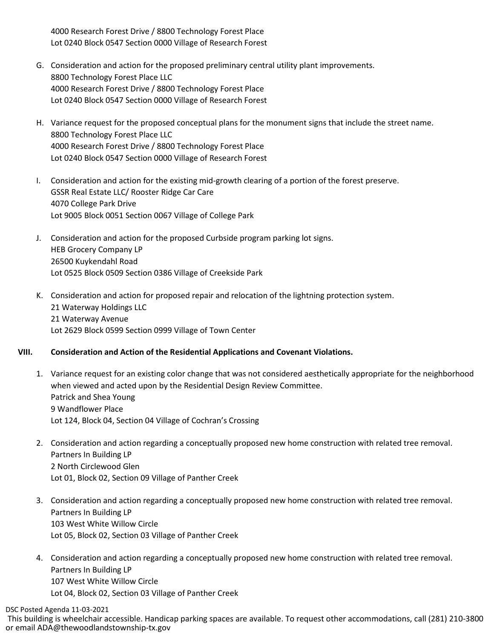4000 Research Forest Drive / 8800 Technology Forest Place Lot 0240 Block 0547 Section 0000 Village of Research Forest

- G. Consideration and action for the proposed preliminary central utility plant improvements. 8800 Technology Forest Place LLC 4000 Research Forest Drive / 8800 Technology Forest Place Lot 0240 Block 0547 Section 0000 Village of Research Forest
- H. Variance request for the proposed conceptual plans for the monument signs that include the street name. 8800 Technology Forest Place LLC 4000 Research Forest Drive / 8800 Technology Forest Place Lot 0240 Block 0547 Section 0000 Village of Research Forest
- I. Consideration and action for the existing mid-growth clearing of a portion of the forest preserve. GSSR Real Estate LLC/ Rooster Ridge Car Care 4070 College Park Drive Lot 9005 Block 0051 Section 0067 Village of College Park
- J. Consideration and action for the proposed Curbside program parking lot signs. HEB Grocery Company LP 26500 Kuykendahl Road Lot 0525 Block 0509 Section 0386 Village of Creekside Park
- K. Consideration and action for proposed repair and relocation of the lightning protection system. 21 Waterway Holdings LLC 21 Waterway Avenue Lot 2629 Block 0599 Section 0999 Village of Town Center

## **VIII. Consideration and Action of the Residential Applications and Covenant Violations.**

- 1. Variance request for an existing color change that was not considered aesthetically appropriate for the neighborhood when viewed and acted upon by the Residential Design Review Committee. Patrick and Shea Young 9 Wandflower Place Lot 124, Block 04, Section 04 Village of Cochran's Crossing
- 2. Consideration and action regarding a conceptually proposed new home construction with related tree removal. Partners In Building LP 2 North Circlewood Glen Lot 01, Block 02, Section 09 Village of Panther Creek
- 3. Consideration and action regarding a conceptually proposed new home construction with related tree removal. Partners In Building LP 103 West White Willow Circle Lot 05, Block 02, Section 03 Village of Panther Creek
- 4. Consideration and action regarding a conceptually proposed new home construction with related tree removal. Partners In Building LP 107 West White Willow Circle Lot 04, Block 02, Section 03 Village of Panther Creek

DSC Posted Agenda 11-03-2021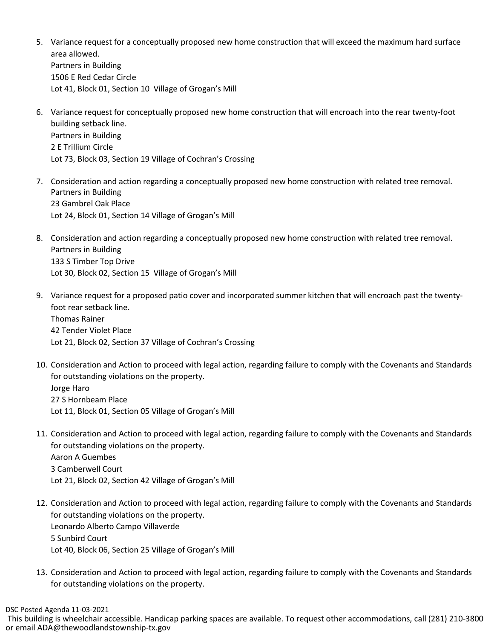- 5. Variance request for a conceptually proposed new home construction that will exceed the maximum hard surface area allowed. Partners in Building 1506 E Red Cedar Circle Lot 41, Block 01, Section 10 Village of Grogan's Mill
- 6. Variance request for conceptually proposed new home construction that will encroach into the rear twenty-foot building setback line. Partners in Building 2 E Trillium Circle Lot 73, Block 03, Section 19 Village of Cochran's Crossing
- 7. Consideration and action regarding a conceptually proposed new home construction with related tree removal. Partners in Building 23 Gambrel Oak Place Lot 24, Block 01, Section 14 Village of Grogan's Mill
- 8. Consideration and action regarding a conceptually proposed new home construction with related tree removal. Partners in Building 133 S Timber Top Drive Lot 30, Block 02, Section 15 Village of Grogan's Mill
- 9. Variance request for a proposed patio cover and incorporated summer kitchen that will encroach past the twentyfoot rear setback line. Thomas Rainer 42 Tender Violet Place Lot 21, Block 02, Section 37 Village of Cochran's Crossing
- 10. Consideration and Action to proceed with legal action, regarding failure to comply with the Covenants and Standards for outstanding violations on the property. Jorge Haro 27 S Hornbeam Place Lot 11, Block 01, Section 05 Village of Grogan's Mill
- 11. Consideration and Action to proceed with legal action, regarding failure to comply with the Covenants and Standards for outstanding violations on the property. Aaron A Guembes 3 Camberwell Court Lot 21, Block 02, Section 42 Village of Grogan's Mill
- 12. Consideration and Action to proceed with legal action, regarding failure to comply with the Covenants and Standards for outstanding violations on the property. Leonardo Alberto Campo Villaverde 5 Sunbird Court Lot 40, Block 06, Section 25 Village of Grogan's Mill
- 13. Consideration and Action to proceed with legal action, regarding failure to comply with the Covenants and Standards for outstanding violations on the property.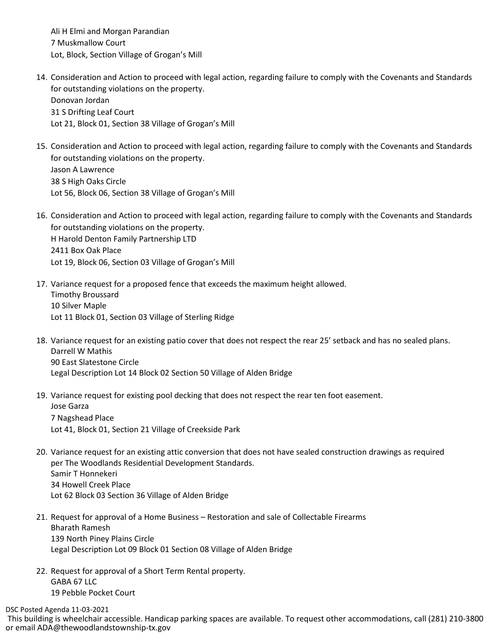Ali H Elmi and Morgan Parandian 7 Muskmallow Court Lot, Block, Section Village of Grogan's Mill

- 14. Consideration and Action to proceed with legal action, regarding failure to comply with the Covenants and Standards for outstanding violations on the property. Donovan Jordan 31 S Drifting Leaf Court Lot 21, Block 01, Section 38 Village of Grogan's Mill
- 15. Consideration and Action to proceed with legal action, regarding failure to comply with the Covenants and Standards for outstanding violations on the property. Jason A Lawrence 38 S High Oaks Circle Lot 56, Block 06, Section 38 Village of Grogan's Mill
- 16. Consideration and Action to proceed with legal action, regarding failure to comply with the Covenants and Standards for outstanding violations on the property. H Harold Denton Family Partnership LTD 2411 Box Oak Place Lot 19, Block 06, Section 03 Village of Grogan's Mill
- 17. Variance request for a proposed fence that exceeds the maximum height allowed. Timothy Broussard 10 Silver Maple Lot 11 Block 01, Section 03 Village of Sterling Ridge
- 18. Variance request for an existing patio cover that does not respect the rear 25' setback and has no sealed plans. Darrell W Mathis 90 East Slatestone Circle Legal Description Lot 14 Block 02 Section 50 Village of Alden Bridge
- 19. Variance request for existing pool decking that does not respect the rear ten foot easement. Jose Garza 7 Nagshead Place Lot 41, Block 01, Section 21 Village of Creekside Park
- 20. Variance request for an existing attic conversion that does not have sealed construction drawings as required per The Woodlands Residential Development Standards. Samir T Honnekeri 34 Howell Creek Place Lot 62 Block 03 Section 36 Village of Alden Bridge
- 21. Request for approval of a Home Business Restoration and sale of Collectable Firearms Bharath Ramesh 139 North Piney Plains Circle Legal Description Lot 09 Block 01 Section 08 Village of Alden Bridge
- 22. Request for approval of a Short Term Rental property. GABA 67 LLC 19 Pebble Pocket Court

DSC Posted Agenda 11-03-2021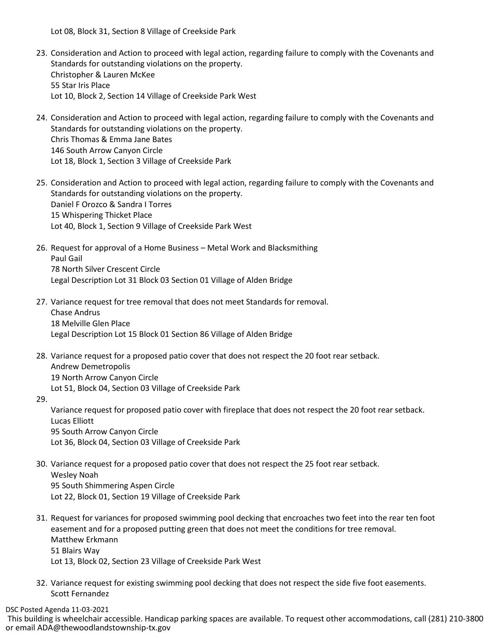Lot 08, Block 31, Section 8 Village of Creekside Park

- 23. Consideration and Action to proceed with legal action, regarding failure to comply with the Covenants and Standards for outstanding violations on the property. Christopher & Lauren McKee 55 Star Iris Place Lot 10, Block 2, Section 14 Village of Creekside Park West
- 24. Consideration and Action to proceed with legal action, regarding failure to comply with the Covenants and Standards for outstanding violations on the property. Chris Thomas & Emma Jane Bates 146 South Arrow Canyon Circle Lot 18, Block 1, Section 3 Village of Creekside Park
- 25. Consideration and Action to proceed with legal action, regarding failure to comply with the Covenants and Standards for outstanding violations on the property. Daniel F Orozco & Sandra I Torres 15 Whispering Thicket Place Lot 40, Block 1, Section 9 Village of Creekside Park West
- 26. Request for approval of a Home Business Metal Work and Blacksmithing Paul Gail 78 North Silver Crescent Circle Legal Description Lot 31 Block 03 Section 01 Village of Alden Bridge
- 27. Variance request for tree removal that does not meet Standards for removal. Chase Andrus 18 Melville Glen Place Legal Description Lot 15 Block 01 Section 86 Village of Alden Bridge
- 28. Variance request for a proposed patio cover that does not respect the 20 foot rear setback. Andrew Demetropolis 19 North Arrow Canyon Circle Lot 51, Block 04, Section 03 Village of Creekside Park
- 29.

Variance request for proposed patio cover with fireplace that does not respect the 20 foot rear setback. Lucas Elliott 95 South Arrow Canyon Circle Lot 36, Block 04, Section 03 Village of Creekside Park

- 30. Variance request for a proposed patio cover that does not respect the 25 foot rear setback. Wesley Noah 95 South Shimmering Aspen Circle Lot 22, Block 01, Section 19 Village of Creekside Park
- 31. Request for variances for proposed swimming pool decking that encroaches two feet into the rear ten foot easement and for a proposed putting green that does not meet the conditions for tree removal. Matthew Erkmann 51 Blairs Way Lot 13, Block 02, Section 23 Village of Creekside Park West
- 32. Variance request for existing swimming pool decking that does not respect the side five foot easements. Scott Fernandez

DSC Posted Agenda 11-03-2021